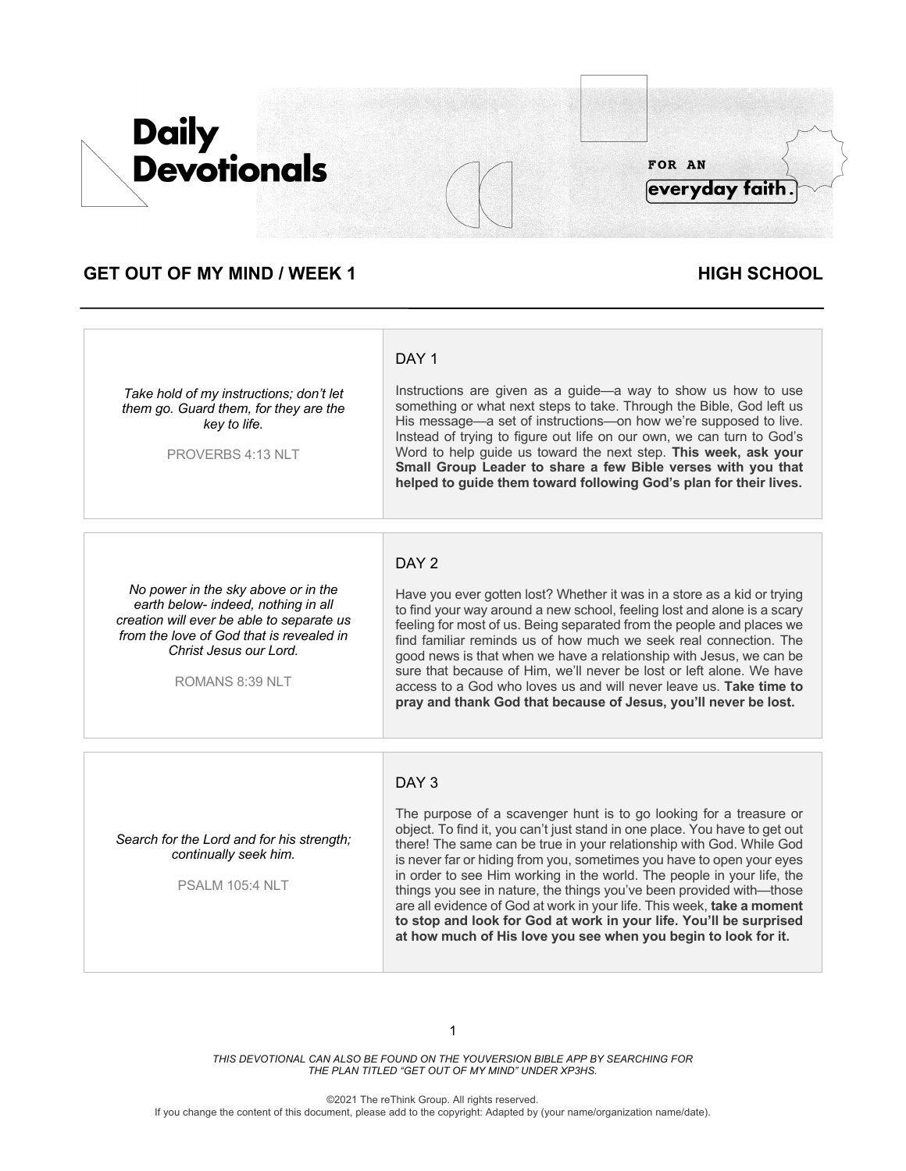## **GET OUT OF MY MIND / WEEK 1 HIGH SCHOOL**

*Take hold of my instructions; don't let them go. Guard them, for they are the key to life.*

PROVERBS 4:13 NLT

Instructions are given as a guide—a way to show us how to use something or what next steps to take. Through the Bible, God left us His message—a set of instructions—on how we're supposed to live. Instead of trying to figure out life on our own, we can turn to God's Word to help guide us toward the next step. **This week, ask your Small Group Leader to share a few Bible verses with you that helped to guide them toward following God's plan for their lives.**

*No power in the sky above or in the earth below- indeed, nothing in all creation will ever be able to separate us from the love of God that is revealed in Christ Jesus our Lord.* 

ROMANS 8:39 NLT

### DAY<sub>2</sub>

DAY<sub>1</sub>

Have you ever gotten lost? Whether it was in a store as a kid or trying to find your way around a new school, feeling lost and alone is a scary feeling for most of us. Being separated from the people and places we find familiar reminds us of how much we seek real connection. The good news is that when we have a relationship with Jesus, we can be sure that because of Him, we'll never be lost or left alone. We have access to a God who loves us and will never leave us. **Take time to pray and thank God that because of Jesus, you'll never be lost.**

### DAY 3

*Search for the Lord and for his strength; continually seek him.* 

PSALM 105:4 NLT

The purpose of a scavenger hunt is to go looking for a treasure or object. To find it, you can't just stand in one place. You have to get out there! The same can be true in your relationship with God. While God is never far or hiding from you, sometimes you have to open your eyes in order to see Him working in the world. The people in your life, the things you see in nature, the things you've been provided with—those are all evidence of God at work in your life. This week, **take a moment to stop and look for God at work in your life. You'll be surprised at how much of His love you see when you begin to look for it.**

*THIS DEVOTIONAL CAN ALSO BE FOUND ON THE YOUVERSION BIBLE APP BY SEARCHING FOR THE PLAN TITLED "GET OUT OF MY MIND" UNDER XP3HS.*

©2021 The reThink Group. All rights reserved. If you change the content of this document, please add to the copyright: Adapted by (your name/organization name/date).

FOR AN

everyday faith

# **Daily Devotionals**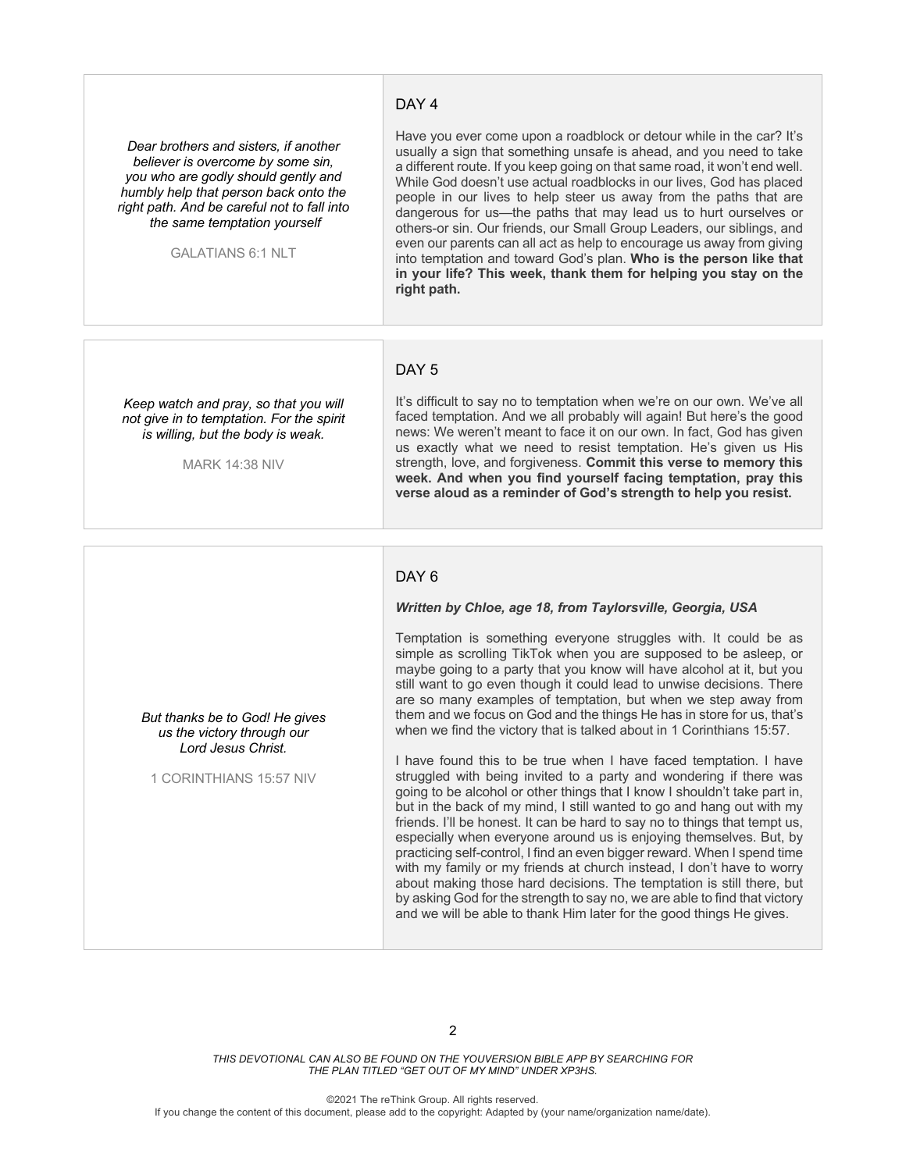#### DAY<sub>4</sub>

*Dear brothers and sisters, if another believer is overcome by some sin, you who are godly should gently and humbly help that person back onto the right path. And be careful not to fall into the same temptation yourself*

GALATIANS 6:1 NLT

Have you ever come upon a roadblock or detour while in the car? It's usually a sign that something unsafe is ahead, and you need to take a different route. If you keep going on that same road, it won't end well. While God doesn't use actual roadblocks in our lives, God has placed people in our lives to help steer us away from the paths that are dangerous for us—the paths that may lead us to hurt ourselves or others-or sin. Our friends, our Small Group Leaders, our siblings, and even our parents can all act as help to encourage us away from giving into temptation and toward God's plan. **Who is the person like that in your life? This week, thank them for helping you stay on the right path.**

#### DAY<sub>5</sub>

*Keep watch and pray, so that you will not give in to temptation. For the spirit is willing, but the body is weak.*

MARK 14:38 NIV

*But thanks be to God! He gives us the victory through our Lord Jesus Christ.*

1 CORINTHIANS 15:57 NIV

It's difficult to say no to temptation when we're on our own. We've all faced temptation. And we all probably will again! But here's the good news: We weren't meant to face it on our own. In fact, God has given us exactly what we need to resist temptation. He's given us His strength, love, and forgiveness. **Commit this verse to memory this week. And when you find yourself facing temptation, pray this verse aloud as a reminder of God's strength to help you resist.**

#### DAY 6

#### *Written by Chloe, age 18, from Taylorsville, Georgia, USA*

Temptation is something everyone struggles with. It could be as simple as scrolling TikTok when you are supposed to be asleep, or maybe going to a party that you know will have alcohol at it, but you still want to go even though it could lead to unwise decisions. There are so many examples of temptation, but when we step away from them and we focus on God and the things He has in store for us, that's when we find the victory that is talked about in 1 Corinthians 15:57.

I have found this to be true when I have faced temptation. I have struggled with being invited to a party and wondering if there was going to be alcohol or other things that I know I shouldn't take part in, but in the back of my mind, I still wanted to go and hang out with my friends. I'll be honest. It can be hard to say no to things that tempt us, especially when everyone around us is enjoying themselves. But, by practicing self-control, I find an even bigger reward. When I spend time with my family or my friends at church instead, I don't have to worry about making those hard decisions. The temptation is still there, but by asking God for the strength to say no, we are able to find that victory and we will be able to thank Him later for the good things He gives.

*THIS DEVOTIONAL CAN ALSO BE FOUND ON THE YOUVERSION BIBLE APP BY SEARCHING FOR THE PLAN TITLED "GET OUT OF MY MIND" UNDER XP3HS.*

©2021 The reThink Group. All rights reserved.

If you change the content of this document, please add to the copyright: Adapted by (your name/organization name/date).